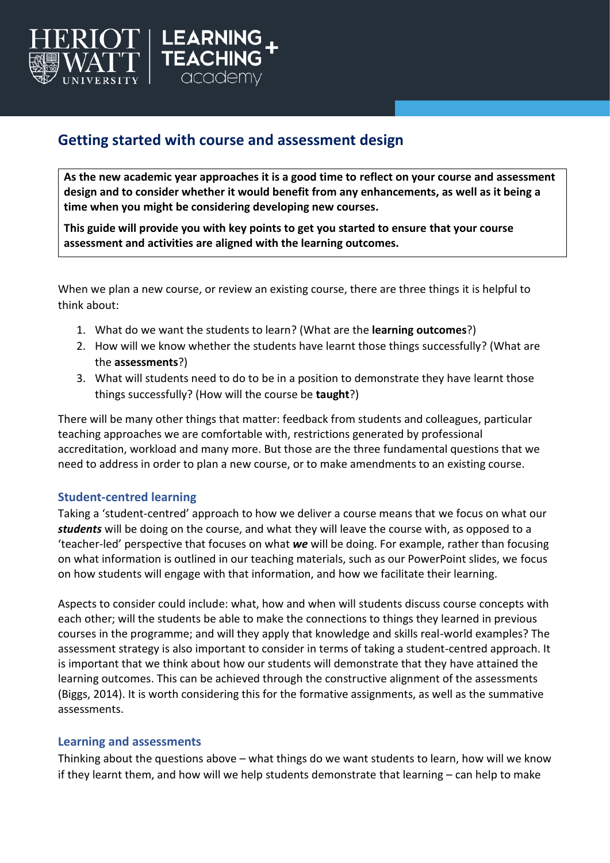

# **Getting started with course and assessment design**

**As the new academic year approaches it is a good time to reflect on your course and assessment design and to consider whether it would benefit from any enhancements, as well as it being a time when you might be considering developing new courses.** 

**This guide will provide you with key points to get you started to ensure that your course assessment and activities are aligned with the learning outcomes.** 

When we plan a new course, or review an existing course, there are three things it is helpful to think about:

- 1. What do we want the students to learn? (What are the **learning outcomes**?)
- 2. How will we know whether the students have learnt those things successfully? (What are the **assessments**?)
- 3. What will students need to do to be in a position to demonstrate they have learnt those things successfully? (How will the course be **taught**?)

There will be many other things that matter: feedback from students and colleagues, particular teaching approaches we are comfortable with, restrictions generated by professional accreditation, workload and many more. But those are the three fundamental questions that we need to address in order to plan a new course, or to make amendments to an existing course.

# **Student-centred learning**

Taking a 'student-centred' approach to how we deliver a course means that we focus on what our *students* will be doing on the course, and what they will leave the course with, as opposed to a 'teacher-led' perspective that focuses on what *we* will be doing. For example, rather than focusing on what information is outlined in our teaching materials, such as our PowerPoint slides, we focus on how students will engage with that information, and how we facilitate their learning.

Aspects to consider could include: what, how and when will students discuss course concepts with each other; will the students be able to make the connections to things they learned in previous courses in the programme; and will they apply that knowledge and skills real-world examples? The assessment strategy is also important to consider in terms of taking a student-centred approach. It is important that we think about how our students will demonstrate that they have attained the learning outcomes. This can be achieved through the constructive alignment of the assessments (Biggs, 2014). It is worth considering this for the formative assignments, as well as the summative assessments.

#### **Learning and assessments**

Thinking about the questions above – what things do we want students to learn, how will we know if they learnt them, and how will we help students demonstrate that learning – can help to make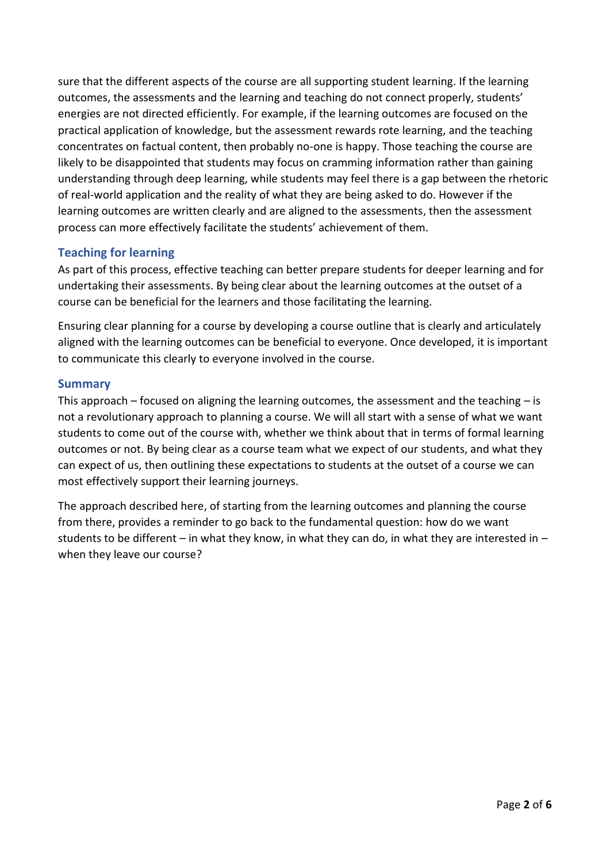sure that the different aspects of the course are all supporting student learning. If the learning outcomes, the assessments and the learning and teaching do not connect properly, students' energies are not directed efficiently. For example, if the learning outcomes are focused on the practical application of knowledge, but the assessment rewards rote learning, and the teaching concentrates on factual content, then probably no-one is happy. Those teaching the course are likely to be disappointed that students may focus on cramming information rather than gaining understanding through deep learning, while students may feel there is a gap between the rhetoric of real-world application and the reality of what they are being asked to do. However if the learning outcomes are written clearly and are aligned to the assessments, then the assessment process can more effectively facilitate the students' achievement of them.

# **Teaching for learning**

As part of this process, effective teaching can better prepare students for deeper learning and for undertaking their assessments. By being clear about the learning outcomes at the outset of a course can be beneficial for the learners and those facilitating the learning.

Ensuring clear planning for a course by developing a course outline that is clearly and articulately aligned with the learning outcomes can be beneficial to everyone. Once developed, it is important to communicate this clearly to everyone involved in the course.

#### **Summary**

This approach – focused on aligning the learning outcomes, the assessment and the teaching – is not a revolutionary approach to planning a course. We will all start with a sense of what we want students to come out of the course with, whether we think about that in terms of formal learning outcomes or not. By being clear as a course team what we expect of our students, and what they can expect of us, then outlining these expectations to students at the outset of a course we can most effectively support their learning journeys.

The approach described here, of starting from the learning outcomes and planning the course from there, provides a reminder to go back to the fundamental question: how do we want students to be different – in what they know, in what they can do, in what they are interested in – when they leave our course?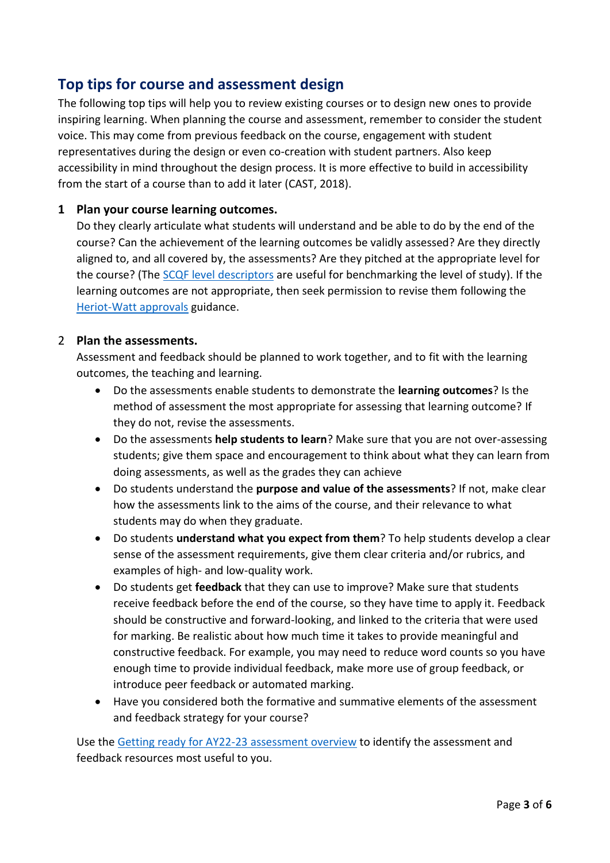# **Top tips for course and assessment design**

The following top tips will help you to review existing courses or to design new ones to provide inspiring learning. When planning the course and assessment, remember to consider the student voice. This may come from previous feedback on the course, engagement with student representatives during the design or even co-creation with student partners. Also keep accessibility in mind throughout the design process. It is more effective to build in accessibility from the start of a course than to add it later (CAST, 2018).

### **1 Plan your course learning outcomes.**

Do they clearly articulate what students will understand and be able to do by the end of the course? Can the achievement of the learning outcomes be validly assessed? Are they directly aligned to, and all covered by, the assessments? Are they pitched at the appropriate level for the course? (The [SCQF level descriptors](https://www.sqa.org.uk/files_ccc/SCQF-LevelDescriptors.pdf) are useful for benchmarking the level of study). If the learning outcomes are not appropriate, then seek permission to revise them following the [Heriot-Watt approvals](https://www.hw.ac.uk/uk/services/academic-registry/quality/qa/approval-procedures.htm) guidance.

#### 2 **Plan the assessments.**

Assessment and feedback should be planned to work together, and to fit with the learning outcomes, the teaching and learning.

- Do the assessments enable students to demonstrate the **learning outcomes**? Is the method of assessment the most appropriate for assessing that learning outcome? If they do not, revise the assessments.
- Do the assessments **help students to learn**? Make sure that you are not over-assessing students; give them space and encouragement to think about what they can learn from doing assessments, as well as the grades they can achieve
- Do students understand the **purpose and value of the assessments**? If not, make clear how the assessments link to the aims of the course, and their relevance to what students may do when they graduate.
- Do students **understand what you expect from them**? To help students develop a clear sense of the assessment requirements, give them clear criteria and/or rubrics, and examples of high- and low-quality work.
- Do students get **feedback** that they can use to improve? Make sure that students receive feedback before the end of the course, so they have time to apply it. Feedback should be constructive and forward-looking, and linked to the criteria that were used for marking. Be realistic about how much time it takes to provide meaningful and constructive feedback. For example, you may need to reduce word counts so you have enough time to provide individual feedback, make more use of group feedback, or introduce peer feedback or automated marking.
- Have you considered both the formative and summative elements of the assessment and feedback strategy for your course?

Use the [Getting ready for AY22-23 assessment overview](https://lta.hw.ac.uk/wp-content/uploads/Getting_ready_for_22-23_assessment_overview.pdf) to identify the assessment and feedback resources most useful to you.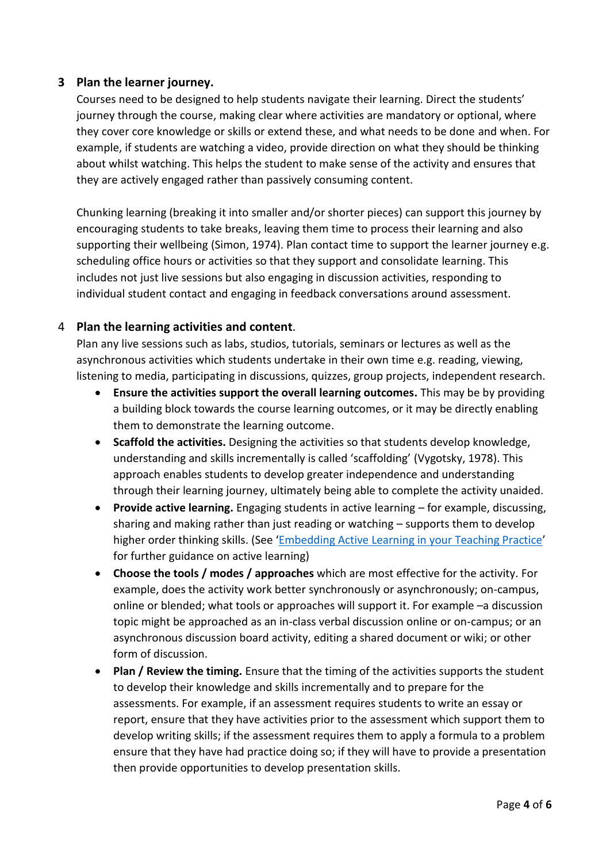# **3 Plan the learner journey.**

Courses need to be designed to help students navigate their learning. Direct the students' journey through the course, making clear where activities are mandatory or optional, where they cover core knowledge or skills or extend these, and what needs to be done and when. For example, if students are watching a video, provide direction on what they should be thinking about whilst watching. This helps the student to make sense of the activity and ensures that they are actively engaged rather than passively consuming content.

Chunking learning (breaking it into smaller and/or shorter pieces) can support this journey by encouraging students to take breaks, leaving them time to process their learning and also supporting their wellbeing (Simon, 1974). Plan contact time to support the learner journey e.g. scheduling office hours or activities so that they support and consolidate learning. This includes not just live sessions but also engaging in discussion activities, responding to individual student contact and engaging in feedback conversations around assessment.

# 4 **Plan the learning activities and content**.

Plan any live sessions such as labs, studios, tutorials, seminars or lectures as well as the asynchronous activities which students undertake in their own time e.g. reading, viewing, listening to media, participating in discussions, quizzes, group projects, independent research.

- **Ensure the activities support the overall learning outcomes.** This may be by providing a building block towards the course learning outcomes, or it may be directly enabling them to demonstrate the learning outcome.
- **Scaffold the activities.** Designing the activities so that students develop knowledge, understanding and skills incrementally is called 'scaffolding' (Vygotsky, 1978). This approach enables students to develop greater independence and understanding through their learning journey, ultimately being able to complete the activity unaided.
- **Provide active learning.** Engaging students in active learning for example, discussing, sharing and making rather than just reading or watching – supports them to develop higher order thinking skills. (See '[Embedding Active Learning in your Teaching Practice](https://lta.hw.ac.uk/wp-content/uploads/Embedding-Active-Learning-into-Your-Teaching-Practice.pdf)' for further guidance on active learning)
- **Choose the tools / modes / approaches** which are most effective for the activity. For example, does the activity work better synchronously or asynchronously; on-campus, online or blended; what tools or approaches will support it. For example –a discussion topic might be approached as an in-class verbal discussion online or on-campus; or an asynchronous discussion board activity, editing a shared document or wiki; or other form of discussion.
- **Plan / Review the timing.** Ensure that the timing of the activities supports the student to develop their knowledge and skills incrementally and to prepare for the assessments. For example, if an assessment requires students to write an essay or report, ensure that they have activities prior to the assessment which support them to develop writing skills; if the assessment requires them to apply a formula to a problem ensure that they have had practice doing so; if they will have to provide a presentation then provide opportunities to develop presentation skills.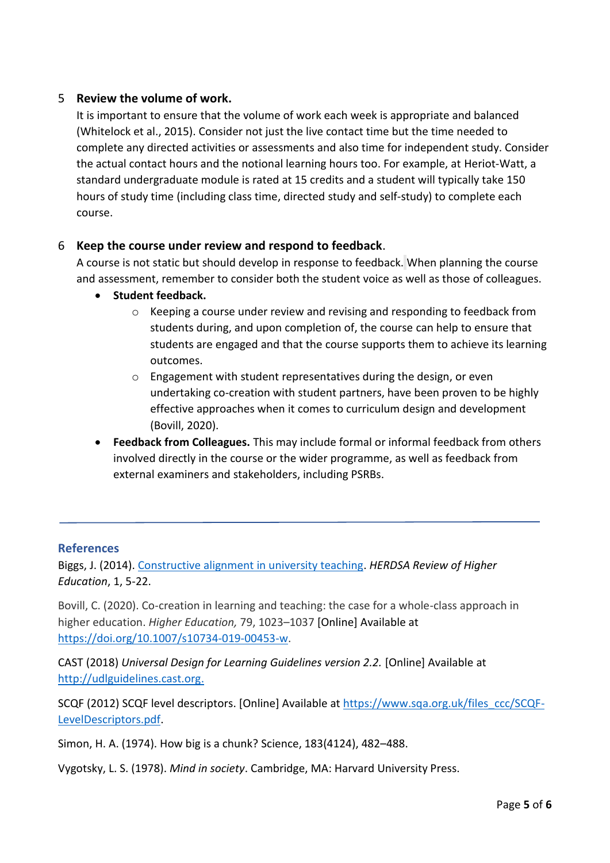# 5 **Review the volume of work.**

It is important to ensure that the volume of work each week is appropriate and balanced (Whitelock et al., 2015). Consider not just the live contact time but the time needed to complete any directed activities or assessments and also time for independent study. Consider the actual contact hours and the notional learning hours too. For example, at Heriot-Watt, a standard undergraduate module is rated at 15 credits and a student will typically take 150 hours of study time (including class time, directed study and self-study) to complete each course.

# 6 **Keep the course under review and respond to feedback**.

A course is not static but should develop in response to feedback. When planning the course and assessment, remember to consider both the student voice as well as those of colleagues.

- **Student feedback.**
	- o Keeping a course under review and revising and responding to feedback from students during, and upon completion of, the course can help to ensure that students are engaged and that the course supports them to achieve its learning outcomes.
	- $\circ$  Engagement with student representatives during the design, or even undertaking co-creation with student partners, have been proven to be highly effective approaches when it comes to curriculum design and development (Bovill, 2020).
- **Feedback from Colleagues.** This may include formal or informal feedback from others involved directly in the course or the wider programme, as well as feedback from external examiners and stakeholders, including PSRBs.

# **References**

Biggs, J. (2014). [Constructive alignment in university teaching.](https://www.herdsa.org.au/herdsa-review-higher-education-vol-1/5-22) *HERDSA Review of Higher Education*, 1, 5-22.

Bovill, C. (2020). Co-creation in learning and teaching: the case for a whole-class approach in higher education. *Higher Education,* 79, 1023–1037 [Online] Available at [https://doi.org/10.1007/s10734-019-00453-w.](https://doi.org/10.1007/s10734-019-00453-w)

CAST (2018) *Universal Design for Learning Guidelines version 2.2.* [Online] Available at [http://udlguidelines.cast.org.](http://udlguidelines.cast.org/)

SCQF (2012) SCQF level descriptors. [Online] Available at [https://www.sqa.org.uk/files\\_ccc/SCQF-](https://www.sqa.org.uk/files_ccc/SCQF-LevelDescriptors.pdf)[LevelDescriptors.pdf.](https://www.sqa.org.uk/files_ccc/SCQF-LevelDescriptors.pdf)

Simon, H. A. (1974). How big is a chunk? Science, 183(4124), 482–488.

Vygotsky, L. S. (1978). *Mind in society*. Cambridge, MA: Harvard University Press.